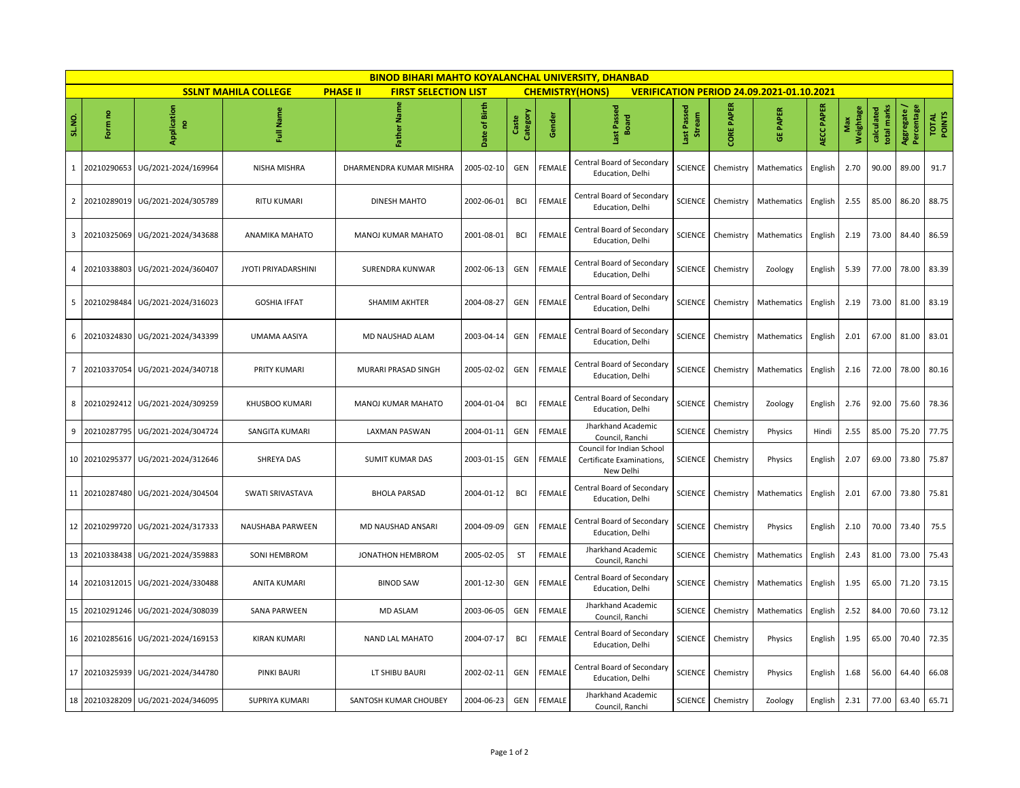| <b>BINOD BIHARI MAHTO KOYALANCHAL UNIVERSITY, DHANBAD</b> |                                                                                                                                                             |                           |                            |                           |               |                   |               |                                                                     |                              |                   |                   |            |                  |                           |                           |                 |
|-----------------------------------------------------------|-------------------------------------------------------------------------------------------------------------------------------------------------------------|---------------------------|----------------------------|---------------------------|---------------|-------------------|---------------|---------------------------------------------------------------------|------------------------------|-------------------|-------------------|------------|------------------|---------------------------|---------------------------|-----------------|
|                                                           | <b>SSLNT MAHILA COLLEGE</b><br><b>PHASE II</b><br><b>FIRST SELECTION LIST</b><br><b>CHEMISTRY(HONS)</b><br><b>VERIFICATION PERIOD 24.09.2021-01.10.2021</b> |                           |                            |                           |               |                   |               |                                                                     |                              |                   |                   |            |                  |                           |                           |                 |
| SL.NO.                                                    | Form no                                                                                                                                                     | Application<br>$\epsilon$ | Full Name                  | 문<br>Father               | Date of Birth | Category<br>Caste | Gender        | Last Passed<br><b>Board</b>                                         | Last Passed<br><b>Stream</b> | <b>CORE PAPER</b> | <b>PAPER</b><br>쁑 | AECC PAPER | Weightage<br>Max | total marks<br>calculated | Aggregate /<br>Percentage | TOTAL<br>POINTS |
| $\mathbf{1}$                                              | 20210290653                                                                                                                                                 | UG/2021-2024/169964       | NISHA MISHRA               | DHARMENDRA KUMAR MISHRA   | 2005-02-10    | GEN               | <b>FEMALE</b> | Central Board of Secondary<br>Education, Delhi                      | <b>SCIENCE</b>               | Chemistry         | Mathematics       | English    | 2.70             | 90.00                     | 89.00                     | 91.7            |
| $\overline{2}$                                            | 20210289019                                                                                                                                                 | UG/2021-2024/305789       | <b>RITU KUMARI</b>         | <b>DINESH MAHTO</b>       | 2002-06-01    | BCI               | <b>FEMALE</b> | Central Board of Secondary<br>Education, Delhi                      | <b>SCIENCE</b>               | Chemistry         | Mathematics       | English    | 2.55             | 85.00                     | 86.20                     | 88.75           |
| $\overline{\mathbf{3}}$                                   | 20210325069                                                                                                                                                 | UG/2021-2024/343688       | ANAMIKA MAHATO             | MANOJ KUMAR MAHATO        | 2001-08-01    | <b>BCI</b>        | <b>FEMALE</b> | Central Board of Secondary<br>Education, Delhi                      | <b>SCIENCE</b>               | Chemistry         | Mathematics       | English    | 2.19             | 73.00                     | 84.40                     | 86.59           |
| $\overline{4}$                                            | 20210338803                                                                                                                                                 | UG/2021-2024/360407       | <b>JYOTI PRIYADARSHINI</b> | SURENDRA KUNWAR           | 2002-06-13    | GEN               | FEMALE        | Central Board of Secondary<br>Education, Delhi                      | <b>SCIENCE</b>               | Chemistry         | Zoology           | English    | 5.39             | 77.00                     | 78.00                     | 83.39           |
| 5                                                         | 20210298484                                                                                                                                                 | UG/2021-2024/316023       | <b>GOSHIA IFFAT</b>        | SHAMIM AKHTER             | 2004-08-27    | GEN               | <b>FEMALE</b> | Central Board of Secondary<br>Education, Delhi                      | <b>SCIENCE</b>               | Chemistry         | Mathematics       | English    | 2.19             | 73.00                     | 81.00                     | 83.19           |
| 6                                                         | 20210324830                                                                                                                                                 | UG/2021-2024/343399       | UMAMA AASIYA               | MD NAUSHAD ALAM           | 2003-04-14    | GEN               | FEMALE        | Central Board of Secondary<br>Education, Delhi                      | SCIENCE <sup></sup>          | Chemistry         | Mathematics       | English    | 2.01             | 67.00                     | 81.00                     | 83.01           |
| $\overline{7}$                                            | 20210337054                                                                                                                                                 | UG/2021-2024/340718       | PRITY KUMARI               | MURARI PRASAD SINGH       | 2005-02-02    | GEN               | <b>FEMALE</b> | Central Board of Secondary<br>Education, Delhi                      | SCIENCE                      | Chemistry         | Mathematics       | English    | 2.16             | 72.00                     | 78.00                     | 80.16           |
| 8                                                         | 20210292412                                                                                                                                                 | UG/2021-2024/309259       | KHUSBOO KUMARI             | <b>MANOJ KUMAR MAHATO</b> | 2004-01-04    | <b>BCI</b>        | <b>FEMALE</b> | Central Board of Secondary<br>Education, Delhi                      | SCIENCE                      | Chemistry         | Zoology           | English    | 2.76             | 92.00                     | 75.60                     | 78.36           |
| 9                                                         | 20210287795                                                                                                                                                 | UG/2021-2024/304724       | SANGITA KUMARI             | LAXMAN PASWAN             | 2004-01-11    | GEN               | FEMALE        | Jharkhand Academic<br>Council. Ranchi                               | <b>SCIENCE</b>               | Chemistry         | Physics           | Hindi      | 2.55             | 85.00                     | 75.20                     | 77.75           |
|                                                           | 10 20210295377                                                                                                                                              | UG/2021-2024/312646       | SHREYA DAS                 | <b>SUMIT KUMAR DAS</b>    | 2003-01-15    | GEN               | FEMALE        | Council for Indian School<br>Certificate Examinations,<br>New Delhi | <b>SCIENCE</b>               | Chemistry         | Physics           | English    | 2.07             | 69.00                     | 73.80                     | 75.87           |
| 11                                                        | 20210287480                                                                                                                                                 | UG/2021-2024/304504       | SWATI SRIVASTAVA           | <b>BHOLA PARSAD</b>       | 2004-01-12    | BCI               | <b>FEMALE</b> | Central Board of Secondary<br>Education, Delhi                      | <b>SCIENCE</b>               | Chemistry         | Mathematics       | English    | 2.01             | 67.00                     | 73.80                     | 75.81           |
| 12                                                        | 20210299720                                                                                                                                                 | UG/2021-2024/317333       | NAUSHABA PARWEEN           | MD NAUSHAD ANSARI         | 2004-09-09    | GEN               | FEMALE        | Central Board of Secondary<br>Education, Delhi                      | <b>SCIENCE</b>               | Chemistry         | Physics           | English    | 2.10             | 70.00                     | 73.40                     | 75.5            |
| 13                                                        | 20210338438                                                                                                                                                 | UG/2021-2024/359883       | SONI HEMBROM               | JONATHON HEMBROM          | 2005-02-05    | <b>ST</b>         | FEMALE        | Jharkhand Academic<br>Council, Ranchi                               | <b>SCIENCE</b>               | Chemistry         | Mathematics       | English    | 2.43             | 81.00                     | 73.00                     | 75.43           |
|                                                           | 14 20210312015                                                                                                                                              | UG/2021-2024/330488       | <b>ANITA KUMARI</b>        | <b>BINOD SAW</b>          | 2001-12-30    | GEN               | FEMALE        | Central Board of Secondary<br>Education, Delhi                      | SCIENCE                      | Chemistry         | Mathematics       | English    | 1.95             | 65.00                     | 71.20                     | 73.15           |
| 15                                                        | 20210291246                                                                                                                                                 | UG/2021-2024/308039       | <b>SANA PARWEEN</b>        | <b>MD ASLAM</b>           | 2003-06-05    | GEN               | <b>FEMALE</b> | Jharkhand Academic<br>Council, Ranchi                               | <b>SCIENCE</b>               | Chemistry         | Mathematics       | English    | 2.52             | 84.00                     | 70.60                     | 73.12           |
| 16                                                        | 20210285616                                                                                                                                                 | UG/2021-2024/169153       | <b>KIRAN KUMARI</b>        | <b>NAND LAL MAHATO</b>    | 2004-07-17    | <b>BCI</b>        | <b>FEMALE</b> | Central Board of Secondary<br>Education, Delhi                      | <b>SCIENCE</b>               | Chemistry         | Physics           | English    | 1.95             | 65.00                     | 70.40                     | 72.35           |
|                                                           | 17 20210325939                                                                                                                                              | UG/2021-2024/344780       | PINKI BAURI                | LT SHIBU BAURI            | 2002-02-11    | GEN               | FEMALE        | Central Board of Secondary<br>Education, Delhi                      | SCIENCE <sup>1</sup>         | Chemistry         | Physics           | English    | 1.68             | 56.00                     | 64.40                     | 66.08           |
| 18                                                        | 20210328209                                                                                                                                                 | UG/2021-2024/346095       | SUPRIYA KUMARI             | SANTOSH KUMAR CHOUBEY     | 2004-06-23    | GEN               | FEMALE        | Jharkhand Academic<br>Council, Ranchi                               | SCIENCE <sup>1</sup>         | Chemistry         | Zoology           | English    | 2.31             | 77.00                     | 63.40                     | 65.71           |